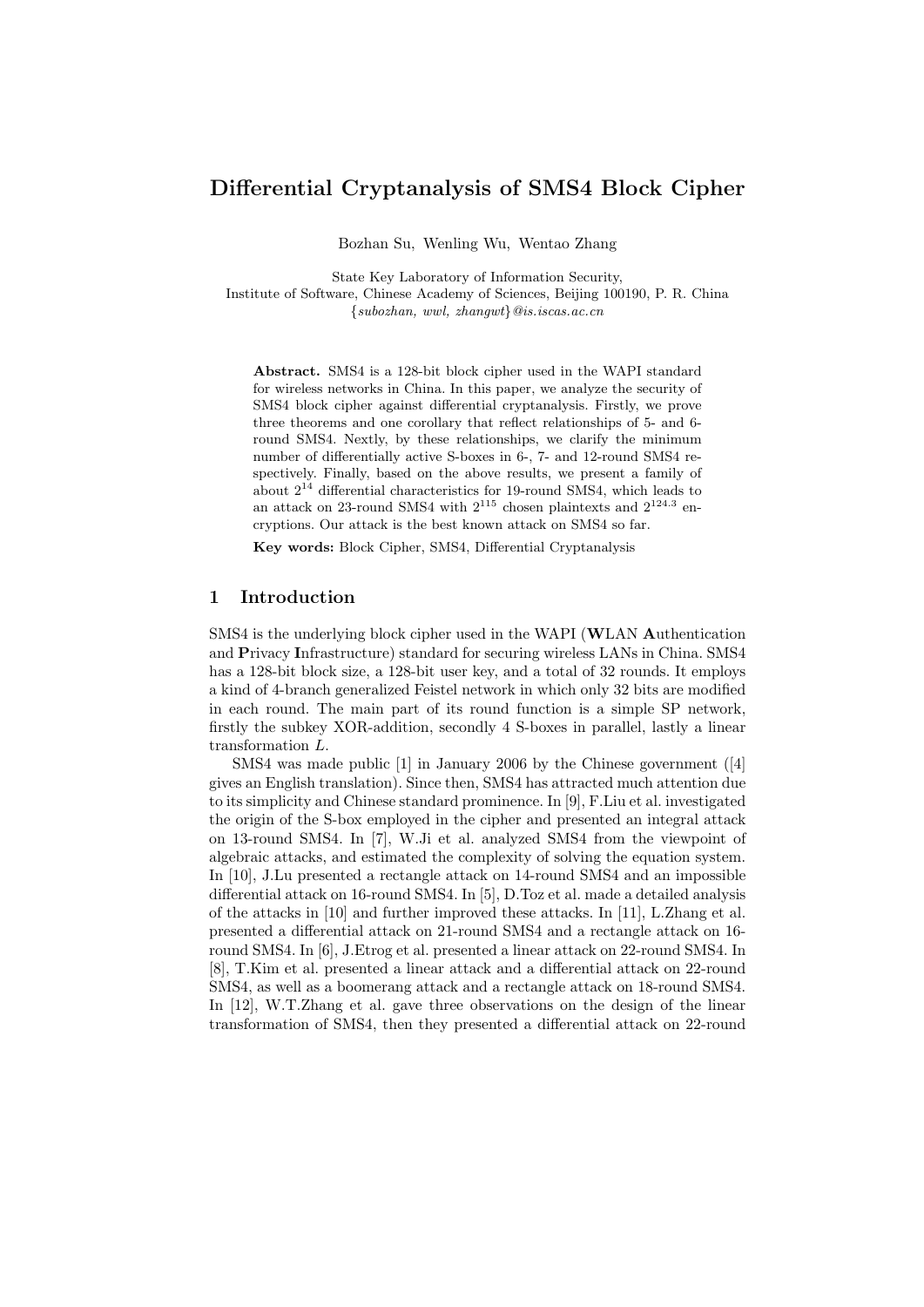# Differential Cryptanalysis of SMS4 Block Cipher

Bozhan Su, Wenling Wu, Wentao Zhang

State Key Laboratory of Information Security, Institute of Software, Chinese Academy of Sciences, Beijing 100190, P. R. China  $\{subc, ww1, zhangwt\}$ @is.iscas.ac.cn

Abstract. SMS4 is a 128-bit block cipher used in the WAPI standard for wireless networks in China. In this paper, we analyze the security of SMS4 block cipher against differential cryptanalysis. Firstly, we prove three theorems and one corollary that reflect relationships of 5- and 6 round SMS4. Nextly, by these relationships, we clarify the minimum number of differentially active S-boxes in 6-, 7- and 12-round SMS4 respectively. Finally, based on the above results, we present a family of about  $2^{14}$  differential characteristics for 19-round SMS4, which leads to an attack on 23-round SMS4 with  $2^{115}$  chosen plaintexts and  $2^{124.3}$  encryptions. Our attack is the best known attack on SMS4 so far.

Key words: Block Cipher, SMS4, Differential Cryptanalysis

#### 1 Introduction

SMS4 is the underlying block cipher used in the WAPI (WLAN Authentication and Privacy Infrastructure) standard for securing wireless LANs in China. SMS4 has a 128-bit block size, a 128-bit user key, and a total of 32 rounds. It employs a kind of 4-branch generalized Feistel network in which only 32 bits are modified in each round. The main part of its round function is a simple SP network, firstly the subkey XOR-addition, secondly 4 S-boxes in parallel, lastly a linear transformation L.

SMS4 was made public [1] in January 2006 by the Chinese government ([4] gives an English translation). Since then, SMS4 has attracted much attention due to its simplicity and Chinese standard prominence. In [9], F.Liu et al. investigated the origin of the S-box employed in the cipher and presented an integral attack on 13-round SMS4. In [7], W.Ji et al. analyzed SMS4 from the viewpoint of algebraic attacks, and estimated the complexity of solving the equation system. In [10], J.Lu presented a rectangle attack on 14-round SMS4 and an impossible differential attack on 16-round SMS4. In [5], D.Toz et al. made a detailed analysis of the attacks in [10] and further improved these attacks. In [11], L.Zhang et al. presented a differential attack on 21-round SMS4 and a rectangle attack on 16 round SMS4. In [6], J.Etrog et al. presented a linear attack on 22-round SMS4. In [8], T.Kim et al. presented a linear attack and a differential attack on 22-round SMS4, as well as a boomerang attack and a rectangle attack on 18-round SMS4. In [12], W.T.Zhang et al. gave three observations on the design of the linear transformation of SMS4, then they presented a differential attack on 22-round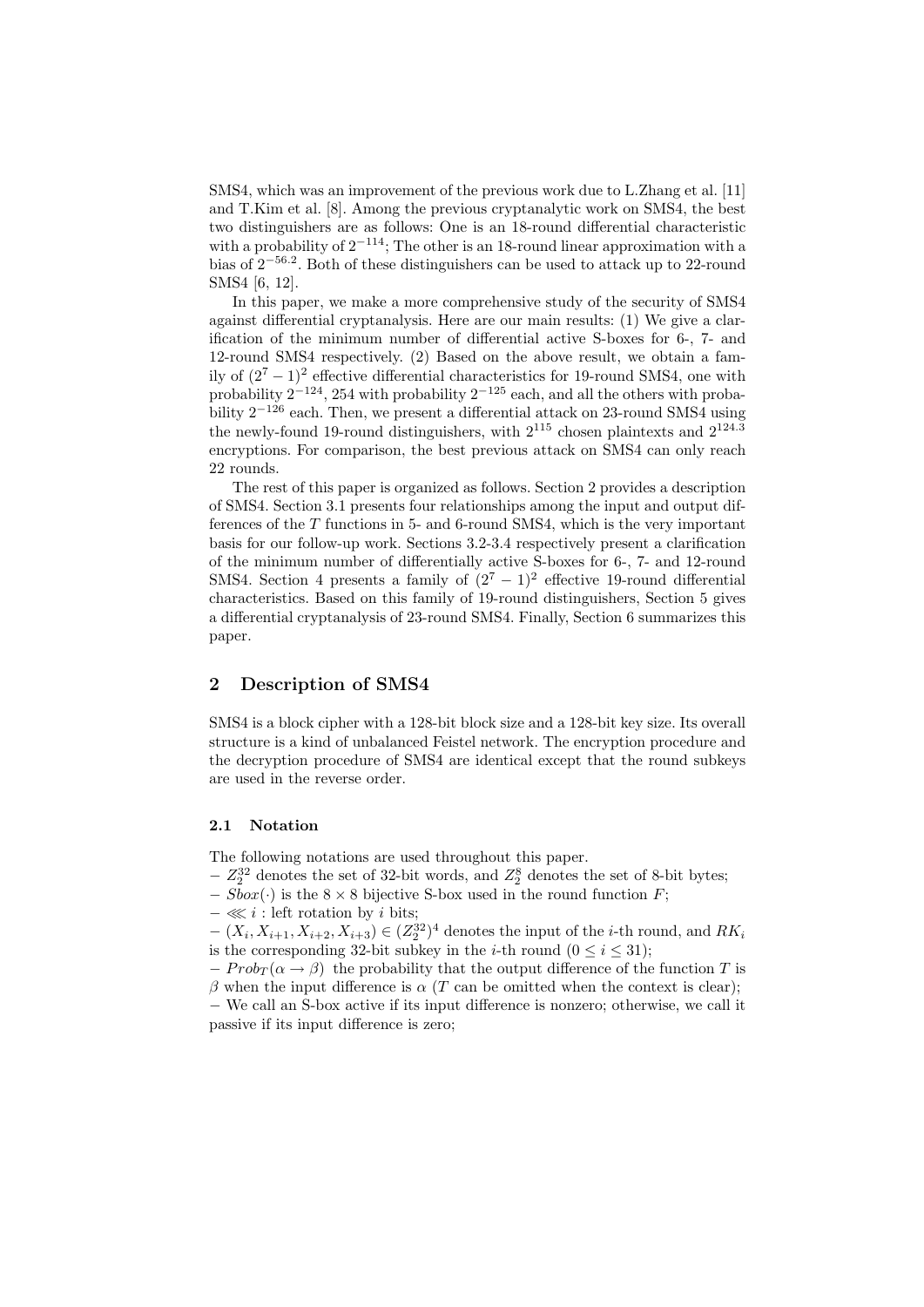SMS4, which was an improvement of the previous work due to L.Zhang et al. [11] and T.Kim et al. [8]. Among the previous cryptanalytic work on SMS4, the best two distinguishers are as follows: One is an 18-round differential characteristic with a probability of  $2^{-114}$ ; The other is an 18-round linear approximation with a bias of 2<sup>−</sup>56.<sup>2</sup> . Both of these distinguishers can be used to attack up to 22-round SMS4 [6, 12].

In this paper, we make a more comprehensive study of the security of SMS4 against differential cryptanalysis. Here are our main results: (1) We give a clarification of the minimum number of differential active S-boxes for 6-, 7- and 12-round SMS4 respectively. (2) Based on the above result, we obtain a family of  $(2^7 - 1)^2$  effective differential characteristics for 19-round SMS4, one with probability  $2^{-124}$ , 254 with probability  $2^{-125}$  each, and all the others with probability  $2^{-126}$  each. Then, we present a differential attack on 23-round SMS4 using the newly-found 19-round distinguishers, with  $2^{115}$  chosen plaintexts and  $2^{124.3}$ encryptions. For comparison, the best previous attack on SMS4 can only reach 22 rounds.

The rest of this paper is organized as follows. Section 2 provides a description of SMS4. Section 3.1 presents four relationships among the input and output differences of the  $T$  functions in  $5-$  and  $6$ -round SMS4, which is the very important basis for our follow-up work. Sections 3.2-3.4 respectively present a clarification of the minimum number of differentially active S-boxes for 6-, 7- and 12-round SMS4. Section 4 presents a family of  $(2<sup>7</sup> - 1)<sup>2</sup>$  effective 19-round differential characteristics. Based on this family of 19-round distinguishers, Section 5 gives a differential cryptanalysis of 23-round SMS4. Finally, Section 6 summarizes this paper.

#### 2 Description of SMS4

SMS4 is a block cipher with a 128-bit block size and a 128-bit key size. Its overall structure is a kind of unbalanced Feistel network. The encryption procedure and the decryption procedure of SMS4 are identical except that the round subkeys are used in the reverse order.

#### 2.1 Notation

The following notations are used throughout this paper.

- $Z_2^{32}$  denotes the set of 32-bit words, and  $Z_2^8$  denotes the set of 8-bit bytes;
- $-$  Sbox( $\cdot$ ) is the 8 × 8 bijective S-box used in the round function F;
- $-$  ≪ i : left rotation by i bits;

 $-(X_i, X_{i+1}, X_{i+2}, X_{i+3}) \in (Z_2^{32})^4$  denotes the input of the *i*-th round, and  $RK_i$ is the corresponding 32-bit subkey in the *i*-th round ( $0 \le i \le 31$ );

 $-Prob_T(\alpha \to \beta)$  the probability that the output difference of the function T is β when the input difference is  $\alpha$  (T can be omitted when the context is clear);

− We call an S-box active if its input difference is nonzero; otherwise, we call it passive if its input difference is zero;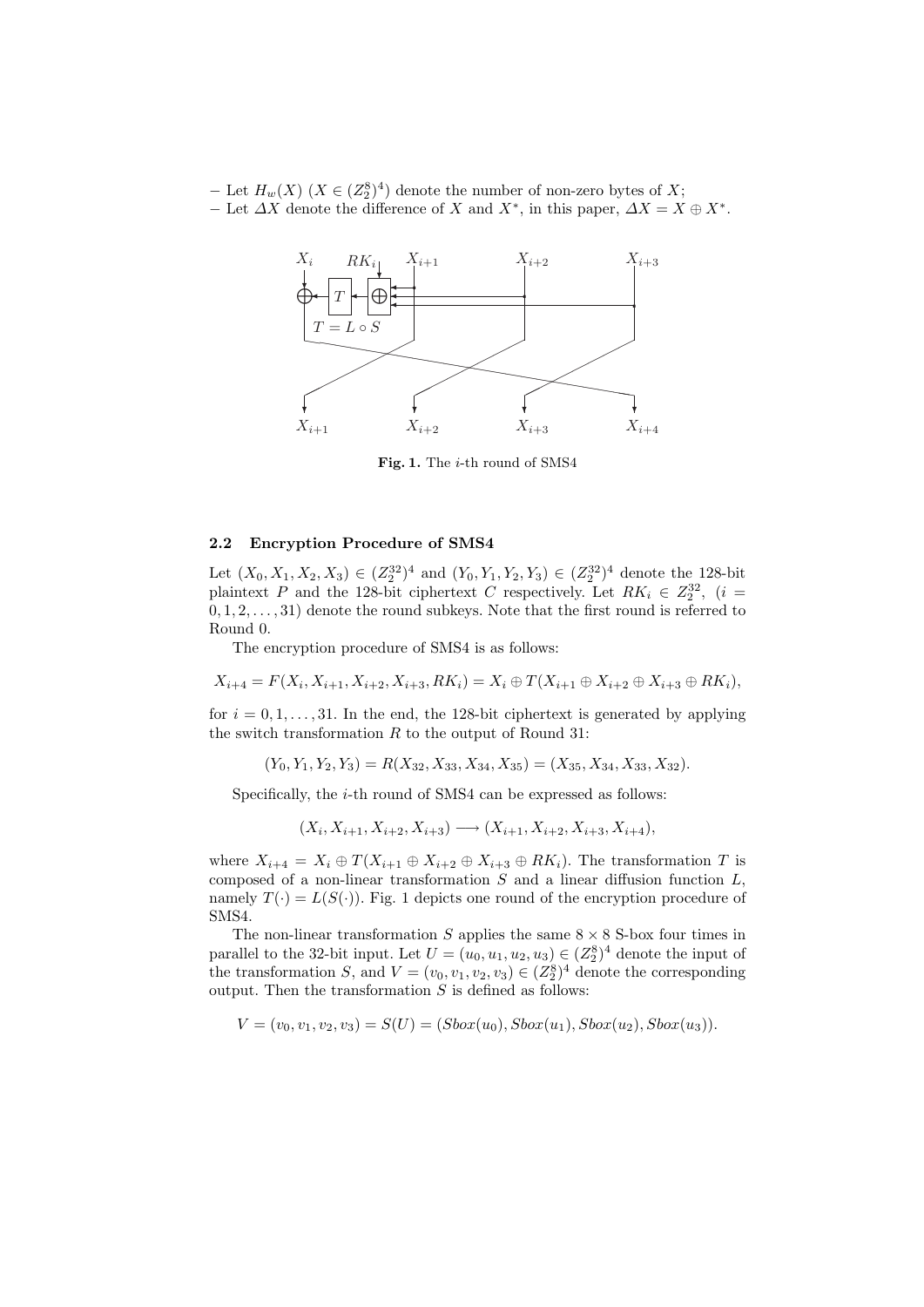− Let  $H_w(X)$  ( $X \in (Z_2^8)^4$ ) denote the number of non-zero bytes of X; − Let  $\Delta X$  denote the difference of X and  $X^*$ , in this paper,  $\Delta X = X \oplus X^*$ .



Fig. 1. The i-th round of SMS4

#### 2.2 Encryption Procedure of SMS4

Let  $(X_0, X_1, X_2, X_3) \in (Z_2^{32})^4$  and  $(Y_0, Y_1, Y_2, Y_3) \in (Z_2^{32})^4$  denote the 128-bit plaintext P and the 128-bit ciphertext C respectively. Let  $RK_i \in Z_2^{32}$ ,  $(i =$  $(0, 1, 2, \ldots, 31)$  denote the round subkeys. Note that the first round is referred to Round 0.

The encryption procedure of SMS4 is as follows:

$$
X_{i+4} = F(X_i, X_{i+1}, X_{i+2}, X_{i+3}, RK_i) = X_i \oplus T(X_{i+1} \oplus X_{i+2} \oplus X_{i+3} \oplus RK_i),
$$

for  $i = 0, 1, \ldots, 31$ . In the end, the 128-bit ciphertext is generated by applying the switch transformation  $R$  to the output of Round 31:

$$
(Y_0, Y_1, Y_2, Y_3) = R(X_{32}, X_{33}, X_{34}, X_{35}) = (X_{35}, X_{34}, X_{33}, X_{32}).
$$

Specifically, the *i*-th round of SMS4 can be expressed as follows:

$$
(X_i, X_{i+1}, X_{i+2}, X_{i+3}) \longrightarrow (X_{i+1}, X_{i+2}, X_{i+3}, X_{i+4}),
$$

where  $X_{i+4} = X_i \oplus T(X_{i+1} \oplus X_{i+2} \oplus X_{i+3} \oplus RK_i)$ . The transformation T is composed of a non-linear transformation  $S$  and a linear diffusion function  $L$ , namely  $T(\cdot) = L(S(\cdot))$ . Fig. 1 depicts one round of the encryption procedure of SMS4.

The non-linear transformation  $S$  applies the same  $8 \times 8$  S-box four times in parallel to the 32-bit input. Let  $U = (u_0, u_1, u_2, u_3) \in (Z_2^8)^4$  denote the input of the transformation S, and  $V = (v_0, v_1, v_2, v_3) \in (Z_2^8)^4$  denote the corresponding output. Then the transformation  $S$  is defined as follows:

$$
V = (v_0, v_1, v_2, v_3) = S(U) = (Sbox(u_0), Sbox(u_1), Sbox(u_2), Sbox(u_3)).
$$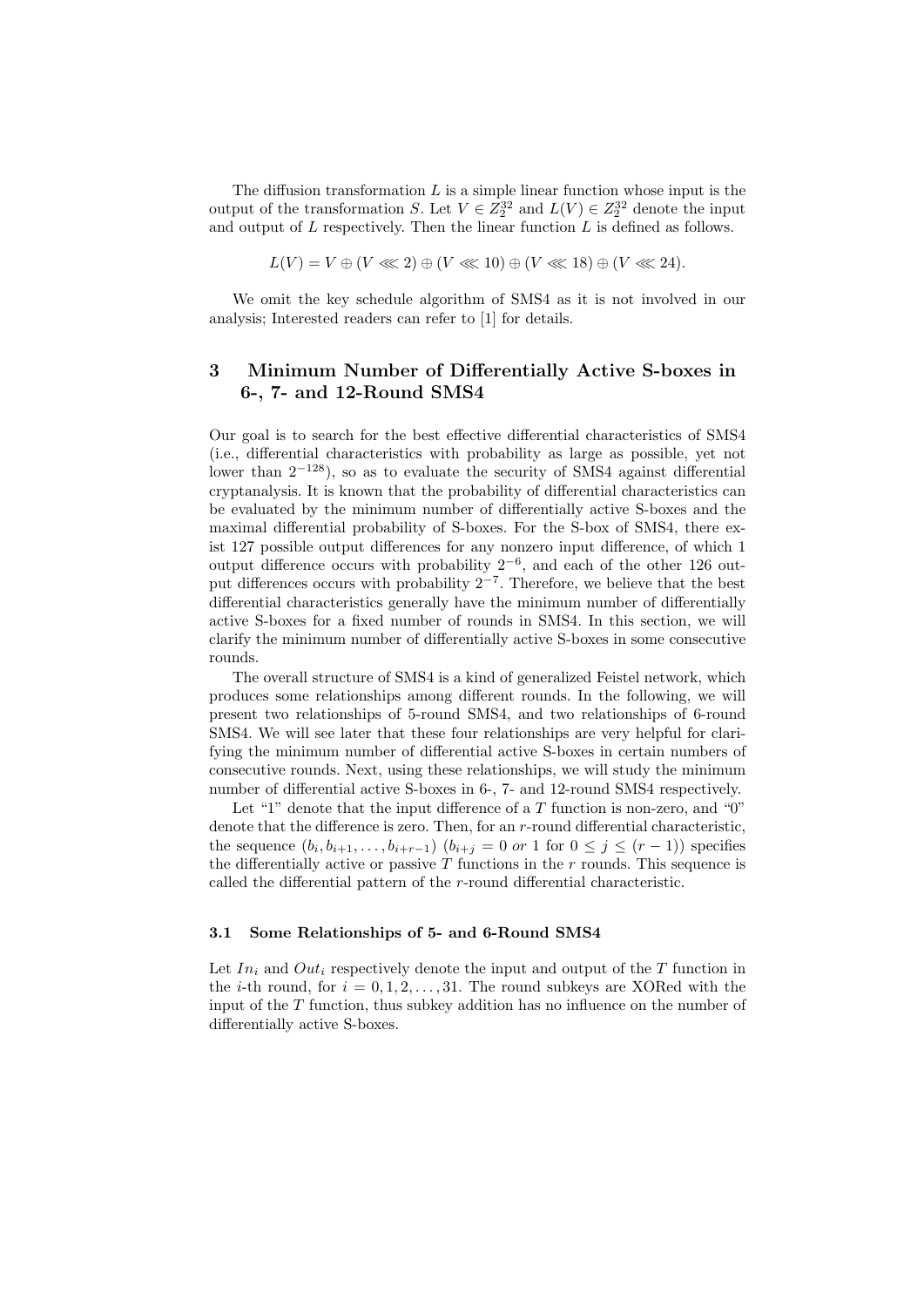The diffusion transformation  $L$  is a simple linear function whose input is the output of the transformation S. Let  $V \in Z_2^{32}$  and  $L(V) \in Z_2^{32}$  denote the input and output of  $L$  respectively. Then the linear function  $L$  is defined as follows.

$$
L(V) = V \oplus (V \lll 2) \oplus (V \lll 10) \oplus (V \lll 18) \oplus (V \lll 24).
$$

We omit the key schedule algorithm of SMS4 as it is not involved in our analysis; Interested readers can refer to [1] for details.

## 3 Minimum Number of Differentially Active S-boxes in 6-, 7- and 12-Round SMS4

Our goal is to search for the best effective differential characteristics of SMS4 (i.e., differential characteristics with probability as large as possible, yet not lower than  $2^{-128}$ ), so as to evaluate the security of SMS4 against differential cryptanalysis. It is known that the probability of differential characteristics can be evaluated by the minimum number of differentially active S-boxes and the maximal differential probability of S-boxes. For the S-box of SMS4, there exist 127 possible output differences for any nonzero input difference, of which 1 output difference occurs with probability  $2^{-6}$ , and each of the other 126 output differences occurs with probability  $2^{-7}$ . Therefore, we believe that the best differential characteristics generally have the minimum number of differentially active S-boxes for a fixed number of rounds in SMS4. In this section, we will clarify the minimum number of differentially active S-boxes in some consecutive rounds.

The overall structure of SMS4 is a kind of generalized Feistel network, which produces some relationships among different rounds. In the following, we will present two relationships of 5-round SMS4, and two relationships of 6-round SMS4. We will see later that these four relationships are very helpful for clarifying the minimum number of differential active S-boxes in certain numbers of consecutive rounds. Next, using these relationships, we will study the minimum number of differential active S-boxes in 6-, 7- and 12-round SMS4 respectively.

Let "1" denote that the input difference of a  $T$  function is non-zero, and "0" denote that the difference is zero. Then, for an r-round differential characteristic, the sequence  $(b_i, b_{i+1}, \ldots, b_{i+r-1})$   $(b_{i+j} = 0 \text{ or } 1 \text{ for } 0 \leq j \leq (r-1))$  specifies the differentially active or passive  $T$  functions in the  $r$  rounds. This sequence is called the differential pattern of the r-round differential characteristic.

#### 3.1 Some Relationships of 5- and 6-Round SMS4

Let  $In_i$  and  $Out_i$  respectively denote the input and output of the T function in the *i*-th round, for  $i = 0, 1, 2, \ldots, 31$ . The round subkeys are XORed with the input of the T function, thus subkey addition has no influence on the number of differentially active S-boxes.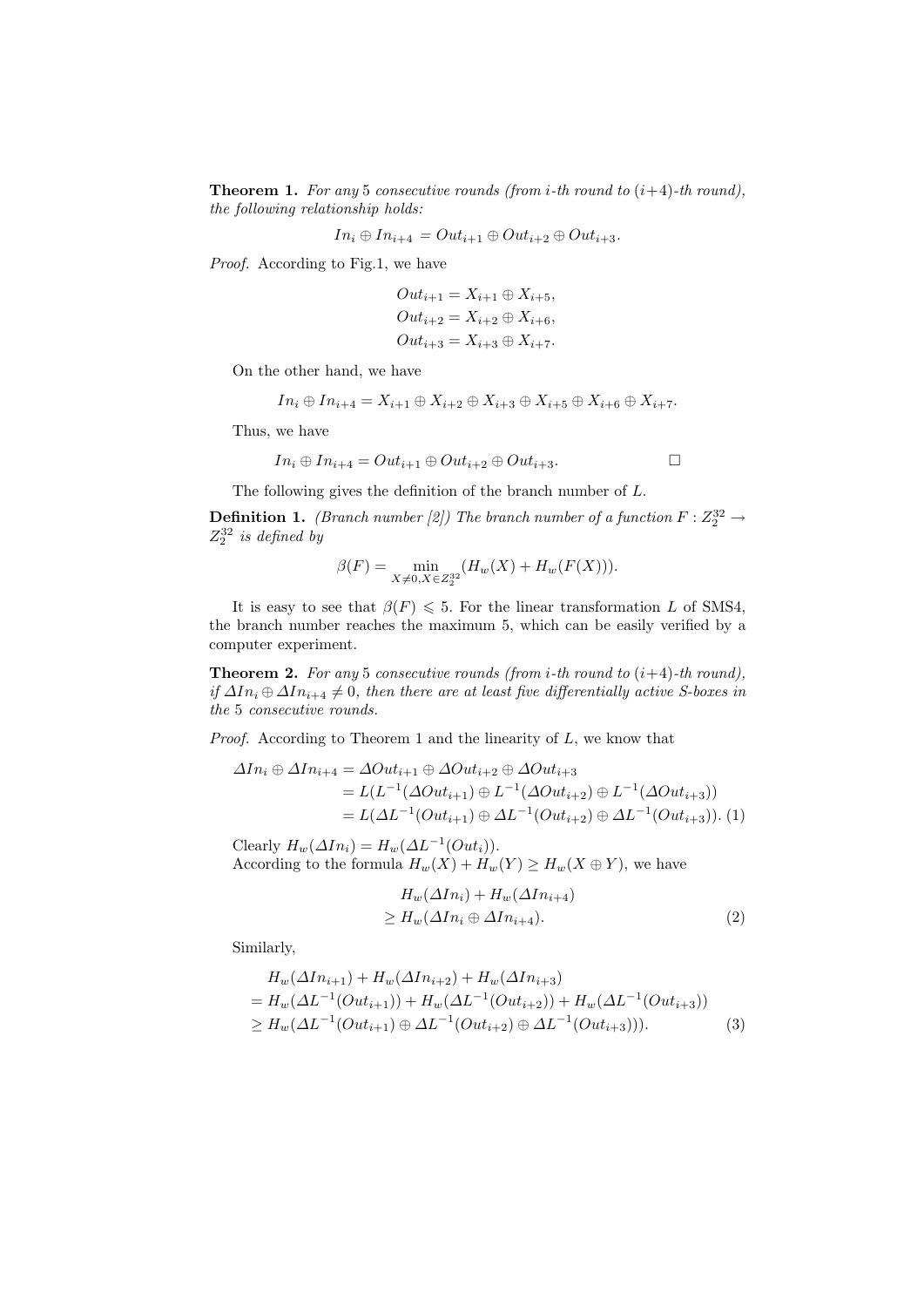**Theorem 1.** For any 5 consecutive rounds (from *i*-th round to  $(i+4)$ -th round), the following relationship holds:

$$
In_i \oplus In_{i+4} = Out_{i+1} \oplus Out_{i+2} \oplus Out_{i+3}.
$$

Proof. According to Fig.1, we have

$$
Out_{i+1} = X_{i+1} \oplus X_{i+5},
$$
  
\n
$$
Out_{i+2} = X_{i+2} \oplus X_{i+6},
$$
  
\n
$$
Out_{i+3} = X_{i+3} \oplus X_{i+7}.
$$

On the other hand, we have

$$
In_i \oplus In_{i+4} = X_{i+1} \oplus X_{i+2} \oplus X_{i+3} \oplus X_{i+5} \oplus X_{i+6} \oplus X_{i+7}.
$$

Thus, we have

$$
In_i \oplus In_{i+4} = Out_{i+1} \oplus Out_{i+2} \oplus Out_{i+3}.
$$

The following gives the definition of the branch number of L.

**Definition 1.** (Branch number [2]) The branch number of a function  $F: Z_2^{32} \to Z_2^{32}$  $Z_2^{32}$  is defined by

$$
\beta(F) = \min_{X \neq 0, X \in Z_2^{32}} (H_w(X) + H_w(F(X))).
$$

It is easy to see that  $\beta(F) \leq 5$ . For the linear transformation L of SMS4, the branch number reaches the maximum 5, which can be easily verified by a computer experiment.

**Theorem 2.** For any 5 consecutive rounds (from *i*-th round to  $(i+4)$ -th round), if  $\Delta In_i ⊕ \Delta In_{i+4} \neq 0$ , then there are at least five differentially active S-boxes in the 5 consecutive rounds.

*Proof.* According to Theorem 1 and the linearity of  $L$ , we know that

$$
\Delta In_i \oplus \Delta In_{i+4} = \Delta Out_{i+1} \oplus \Delta Out_{i+2} \oplus \Delta Out_{i+3}
$$
  
=  $L(L^{-1}(\Delta Out_{i+1}) \oplus L^{-1}(\Delta Out_{i+2}) \oplus L^{-1}(\Delta Out_{i+3}))$   
=  $L(\Delta L^{-1}(Out_{i+1}) \oplus \Delta L^{-1}(Out_{i+2}) \oplus \Delta L^{-1}(Out_{i+3})).$  (1)

Clearly  $H_w(\Delta In_i) = H_w(\Delta L^{-1}(Out_i)).$ According to the formula  $H_w(X) + H_w(Y) \ge H_w(X \oplus Y)$ , we have

$$
H_w(\Delta In_i) + H_w(\Delta In_{i+4})
$$
  
\n
$$
\geq H_w(\Delta In_i \oplus \Delta In_{i+4}).
$$
\n(2)

Similarly,

$$
H_w(\Delta In_{i+1}) + H_w(\Delta In_{i+2}) + H_w(\Delta In_{i+3})
$$
  
=  $H_w(\Delta L^{-1}(Out_{i+1})) + H_w(\Delta L^{-1}(Out_{i+2})) + H_w(\Delta L^{-1}(Out_{i+3}))$   
 $\geq H_w(\Delta L^{-1}(Out_{i+1}) \oplus \Delta L^{-1}(Out_{i+2}) \oplus \Delta L^{-1}(Out_{i+3}))).$  (3)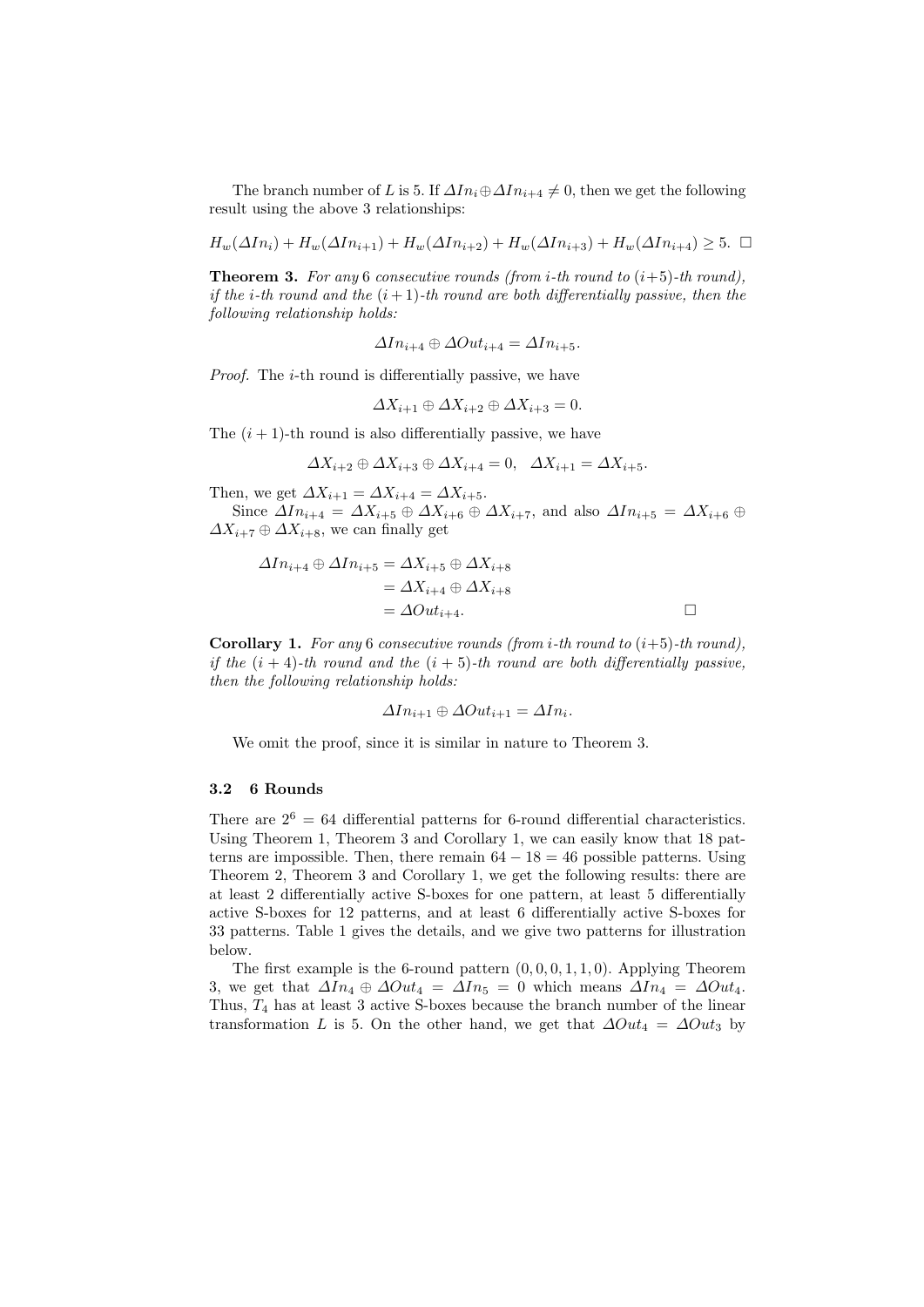The branch number of L is 5. If  $\Delta In_i \oplus \Delta In_{i+4} \neq 0$ , then we get the following result using the above 3 relationships:

$$
H_w(\Delta In_i) + H_w(\Delta In_{i+1}) + H_w(\Delta In_{i+2}) + H_w(\Delta In_{i+3}) + H_w(\Delta In_{i+4}) \ge 5. \quad \Box
$$

**Theorem 3.** For any 6 consecutive rounds (from *i*-th round to  $(i+5)$ -th round), if the *i*-th round and the  $(i + 1)$ -th round are both differentially passive, then the following relationship holds:

$$
\Delta In_{i+4} \oplus \Delta Out_{i+4} = \Delta In_{i+5}.
$$

Proof. The *i*-th round is differentially passive, we have

$$
\Delta X_{i+1} \oplus \Delta X_{i+2} \oplus \Delta X_{i+3} = 0.
$$

The  $(i + 1)$ -th round is also differentially passive, we have

$$
\Delta X_{i+2} \oplus \Delta X_{i+3} \oplus \Delta X_{i+4} = 0, \quad \Delta X_{i+1} = \Delta X_{i+5}.
$$

Then, we get  $\Delta X_{i+1} = \Delta X_{i+4} = \Delta X_{i+5}$ .

Since  $\Delta In_{i+4} = \Delta X_{i+5} \oplus \Delta X_{i+6} \oplus \Delta X_{i+7}$ , and also  $\Delta In_{i+5} = \Delta X_{i+6} \oplus \Delta X_{i+7}$  $\Delta X_{i+7} \oplus \Delta X_{i+8}$ , we can finally get

$$
\Delta In_{i+4} \oplus \Delta In_{i+5} = \Delta X_{i+5} \oplus \Delta X_{i+8}
$$
  
=  $\Delta X_{i+4} \oplus \Delta X_{i+8}$   
=  $\Delta Out_{i+4}$ .

**Corollary 1.** For any 6 consecutive rounds (from *i*-th round to  $(i+5)$ -th round), if the  $(i + 4)$ -th round and the  $(i + 5)$ -th round are both differentially passive, then the following relationship holds:

$$
\Delta In_{i+1} \oplus \Delta Out_{i+1} = \Delta In_i.
$$

We omit the proof, since it is similar in nature to Theorem 3.

#### 3.2 6 Rounds

There are  $2^6 = 64$  differential patterns for 6-round differential characteristics. Using Theorem 1, Theorem 3 and Corollary 1, we can easily know that 18 patterns are impossible. Then, there remain  $64 - 18 = 46$  possible patterns. Using Theorem 2, Theorem 3 and Corollary 1, we get the following results: there are at least 2 differentially active S-boxes for one pattern, at least 5 differentially active S-boxes for 12 patterns, and at least 6 differentially active S-boxes for 33 patterns. Table 1 gives the details, and we give two patterns for illustration below.

The first example is the 6-round pattern  $(0, 0, 0, 1, 1, 0)$ . Applying Theorem 3, we get that  $\Delta In_4 \oplus \Delta Out_4 = \Delta In_5 = 0$  which means  $\Delta In_4 = \Delta Out_4$ . Thus,  $T_4$  has at least 3 active S-boxes because the branch number of the linear transformation L is 5. On the other hand, we get that  $\Delta Out_4 = \Delta Out_3$  by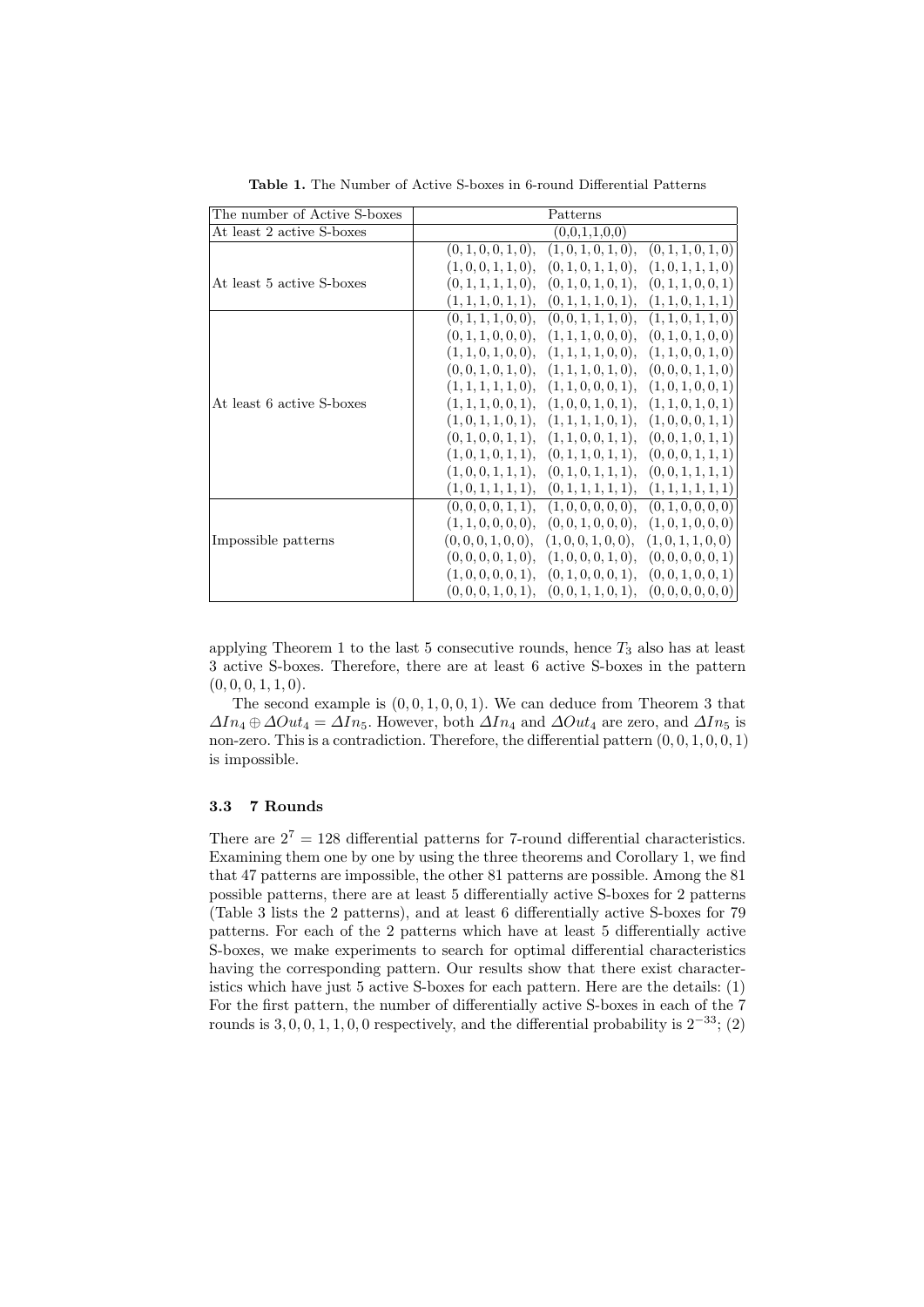| The number of Active S-boxes | Patterns                                                         |  |  |  |  |
|------------------------------|------------------------------------------------------------------|--|--|--|--|
| At least 2 active S-boxes    | (0,0,1,1,0,0)                                                    |  |  |  |  |
|                              | (0, 1, 0, 0, 1, 0),<br>(1,0,1,0,1,0),<br>(0, 1, 1, 0, 1, 0)      |  |  |  |  |
|                              | (1,0,0,1,1,0),<br>(0, 1, 0, 1, 1, 0),<br>(1,0,1,1,1,0)           |  |  |  |  |
| At least 5 active S-boxes    | $(0, 1, 1, 1, 1, 0), (0, 1, 0, 1, 0, 1),$<br>(0, 1, 1, 0, 0, 1)  |  |  |  |  |
|                              | (1, 1, 1, 0, 1, 1),<br>(0, 1, 1, 1, 0, 1),<br>(1, 1, 0, 1, 1, 1) |  |  |  |  |
|                              | $(0, 1, 1, 1, 0, 0), (0, 0, 1, 1, 1, 0),$<br>(1, 1, 0, 1, 1, 0)  |  |  |  |  |
|                              | $(0, 1, 1, 0, 0, 0), (1, 1, 1, 0, 0, 0),$<br>(0, 1, 0, 1, 0, 0)  |  |  |  |  |
| At least 6 active S-boxes    | $(1, 1, 0, 1, 0, 0), (1, 1, 1, 1, 0, 0),$<br>(1, 1, 0, 0, 1, 0)  |  |  |  |  |
|                              | (0,0,1,0,1,0), (1,1,1,0,1,0),<br>(0,0,0,1,1,0)                   |  |  |  |  |
|                              | $(1, 1, 1, 1, 1, 0), (1, 1, 0, 0, 0, 1),$<br>(1, 0, 1, 0, 0, 1)  |  |  |  |  |
|                              | $(1, 1, 1, 0, 0, 1), (1, 0, 0, 1, 0, 1),$<br>(1, 1, 0, 1, 0, 1)  |  |  |  |  |
|                              | (1,0,1,1,0,1), (1,1,1,1,0,1),<br>(1,0,0,0,1,1)                   |  |  |  |  |
|                              | $(0, 1, 0, 0, 1, 1), (1, 1, 0, 0, 1, 1),$<br>(0,0,1,0,1,1)       |  |  |  |  |
|                              | (1,0,1,0,1,1), (0,1,1,0,1,1),<br>(0, 0, 0, 1, 1, 1)              |  |  |  |  |
|                              | (1,0,0,1,1,1), (0,1,0,1,1,1),<br>(0, 0, 1, 1, 1, 1)              |  |  |  |  |
|                              | (1,0,1,1,1,1), (0,1,1,1,1,1),<br>(1, 1, 1, 1, 1, 1)              |  |  |  |  |
|                              | $(0, 0, 0, 0, 1, 1), (1, 0, 0, 0, 0, 0),$<br>(0, 1, 0, 0, 0, 0)  |  |  |  |  |
|                              | $(1, 1, 0, 0, 0, 0), (0, 0, 1, 0, 0, 0),$<br>(1,0,1,0,0,0)       |  |  |  |  |
| Impossible patterns          | $(0, 0, 0, 1, 0, 0), (1, 0, 0, 1, 0, 0),$<br>(1,0,1,1,0,0)       |  |  |  |  |
|                              | (0,0,0,0,1,0), (1,0,0,0,1,0),<br>(0,0,0,0,0,1)                   |  |  |  |  |
|                              | (1,0,0,0,0,1), (0,1,0,0,0,1),<br>(0,0,1,0,0,1)                   |  |  |  |  |
|                              | (0,0,0,1,0,1), (0,0,1,1,0,1),<br>(0,0,0,0,0,0)                   |  |  |  |  |

Table 1. The Number of Active S-boxes in 6-round Differential Patterns

applying Theorem 1 to the last 5 consecutive rounds, hence  $T_3$  also has at least 3 active S-boxes. Therefore, there are at least 6 active S-boxes in the pattern  $(0, 0, 0, 1, 1, 0).$ 

The second example is  $(0, 0, 1, 0, 0, 1)$ . We can deduce from Theorem 3 that  $\Delta In_4 \oplus \Delta Out_4 = \Delta In_5$ . However, both  $\Delta In_4$  and  $\Delta Out_4$  are zero, and  $\Delta In_5$  is non-zero. This is a contradiction. Therefore, the differential pattern  $(0, 0, 1, 0, 0, 1)$ is impossible.

## 3.3 7 Rounds

There are  $2^7 = 128$  differential patterns for 7-round differential characteristics. Examining them one by one by using the three theorems and Corollary 1, we find that 47 patterns are impossible, the other 81 patterns are possible. Among the 81 possible patterns, there are at least 5 differentially active S-boxes for 2 patterns (Table 3 lists the 2 patterns), and at least 6 differentially active S-boxes for 79 patterns. For each of the 2 patterns which have at least 5 differentially active S-boxes, we make experiments to search for optimal differential characteristics having the corresponding pattern. Our results show that there exist characteristics which have just 5 active S-boxes for each pattern. Here are the details: (1) For the first pattern, the number of differentially active S-boxes in each of the 7 rounds is  $3, 0, 0, 1, 1, 0, 0$  respectively, and the differential probability is  $2^{-33}$ ; (2)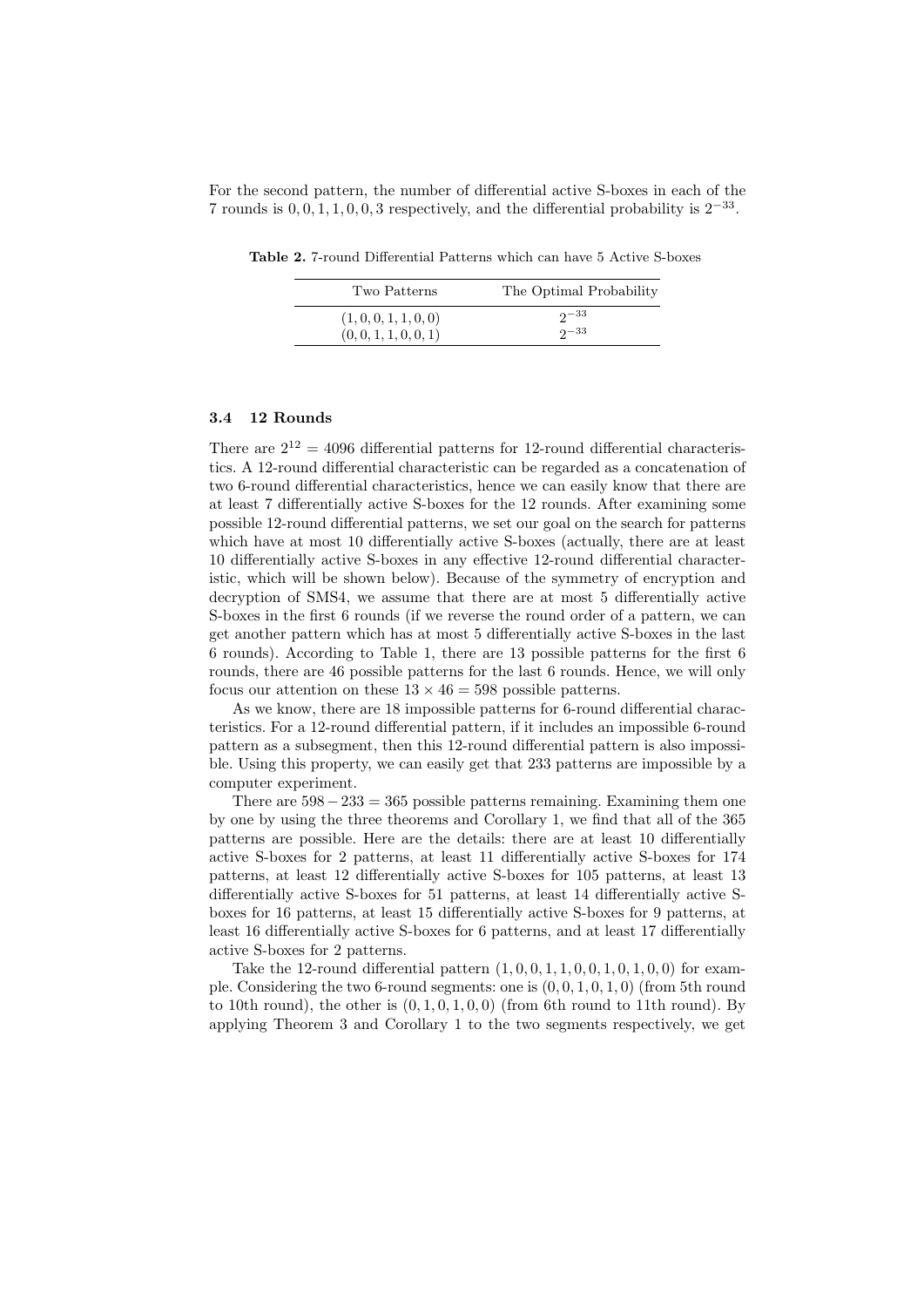For the second pattern, the number of differential active S-boxes in each of the 7 rounds is  $0, 0, 1, 1, 0, 0, 3$  respectively, and the differential probability is  $2^{-33}$ .

Table 2. 7-round Differential Patterns which can have 5 Active S-boxes

| Two Patterns          | The Optimal Probability |
|-----------------------|-------------------------|
| (1,0,0,1,1,0,0)       | $2^{\sim}$              |
| (0, 0, 1, 1, 0, 0, 1) | $2^{-33}$               |

#### 3.4 12 Rounds

There are  $2^{12} = 4096$  differential patterns for 12-round differential characteristics. A 12-round differential characteristic can be regarded as a concatenation of two 6-round differential characteristics, hence we can easily know that there are at least 7 differentially active S-boxes for the 12 rounds. After examining some possible 12-round differential patterns, we set our goal on the search for patterns which have at most 10 differentially active S-boxes (actually, there are at least 10 differentially active S-boxes in any effective 12-round differential characteristic, which will be shown below). Because of the symmetry of encryption and decryption of SMS4, we assume that there are at most 5 differentially active S-boxes in the first 6 rounds (if we reverse the round order of a pattern, we can get another pattern which has at most 5 differentially active S-boxes in the last 6 rounds). According to Table 1, there are 13 possible patterns for the first 6 rounds, there are 46 possible patterns for the last 6 rounds. Hence, we will only focus our attention on these  $13 \times 46 = 598$  possible patterns.

As we know, there are 18 impossible patterns for 6-round differential characteristics. For a 12-round differential pattern, if it includes an impossible 6-round pattern as a subsegment, then this 12-round differential pattern is also impossible. Using this property, we can easily get that 233 patterns are impossible by a computer experiment.

There are  $598-233=365$  possible patterns remaining. Examining them one by one by using the three theorems and Corollary 1, we find that all of the 365 patterns are possible. Here are the details: there are at least 10 differentially active S-boxes for 2 patterns, at least 11 differentially active S-boxes for 174 patterns, at least 12 differentially active S-boxes for 105 patterns, at least 13 differentially active S-boxes for 51 patterns, at least 14 differentially active Sboxes for 16 patterns, at least 15 differentially active S-boxes for 9 patterns, at least 16 differentially active S-boxes for 6 patterns, and at least 17 differentially active S-boxes for 2 patterns.

Take the 12-round differential pattern  $(1, 0, 0, 1, 1, 0, 0, 1, 0, 1, 0, 0)$  for example. Considering the two 6-round segments: one is  $(0, 0, 1, 0, 1, 0)$  (from 5th round to 10th round), the other is  $(0, 1, 0, 1, 0, 0)$  (from 6th round to 11th round). By applying Theorem 3 and Corollary 1 to the two segments respectively, we get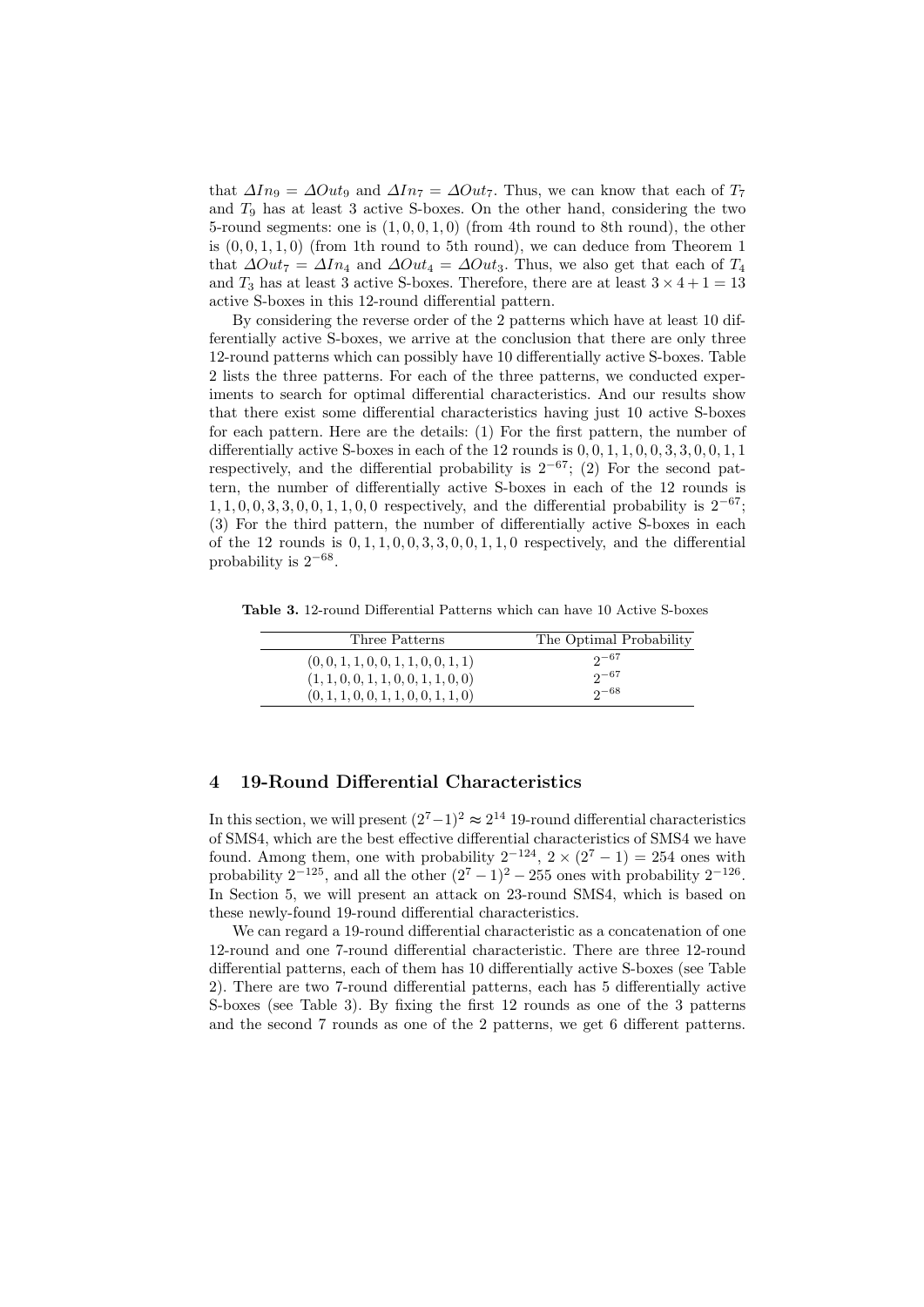that  $\Delta In_9 = \Delta Out_9$  and  $\Delta In_7 = \Delta Out_7$ . Thus, we can know that each of  $T_7$ and  $T_9$  has at least 3 active S-boxes. On the other hand, considering the two 5-round segments: one is  $(1, 0, 0, 1, 0)$  (from 4th round to 8th round), the other is  $(0, 0, 1, 1, 0)$  (from 1th round to 5th round), we can deduce from Theorem 1 that  $\Delta Out_7 = \Delta In_4$  and  $\Delta Out_4 = \Delta Out_3$ . Thus, we also get that each of  $T_4$ and  $T_3$  has at least 3 active S-boxes. Therefore, there are at least  $3 \times 4 + 1 = 13$ active S-boxes in this 12-round differential pattern.

By considering the reverse order of the 2 patterns which have at least 10 differentially active S-boxes, we arrive at the conclusion that there are only three 12-round patterns which can possibly have 10 differentially active S-boxes. Table 2 lists the three patterns. For each of the three patterns, we conducted experiments to search for optimal differential characteristics. And our results show that there exist some differential characteristics having just 10 active S-boxes for each pattern. Here are the details: (1) For the first pattern, the number of differentially active S-boxes in each of the  $12$  rounds is  $0, 0, 1, 1, 0, 0, 3, 3, 0, 0, 1, 1$ respectively, and the differential probability is  $2^{-67}$ ; (2) For the second pattern, the number of differentially active S-boxes in each of the 12 rounds is  $1, 1, 0, 0, 3, 3, 0, 0, 1, 1, 0, 0$  respectively, and the differential probability is  $2^{-67}$ ; (3) For the third pattern, the number of differentially active S-boxes in each of the 12 rounds is  $0, 1, 1, 0, 0, 3, 3, 0, 0, 1, 1, 0$  respectively, and the differential probability is  $2^{-68}$ .

Table 3. 12-round Differential Patterns which can have 10 Active S-boxes

| Three Patterns                       | The Optimal Probability |
|--------------------------------------|-------------------------|
| (0, 0, 1, 1, 0, 0, 1, 1, 0, 0, 1, 1) | $2^{-67}$               |
| (1, 1, 0, 0, 1, 1, 0, 0, 1, 1, 0, 0) | $2^{\sim 67}$           |
| (0, 1, 1, 0, 0, 1, 1, 0, 0, 1, 1, 0) | $2^{\sim 68}$           |

### 4 19-Round Differential Characteristics

In this section, we will present  $(2^7-1)^2 \approx 2^{14}$  19-round differential characteristics of SMS4, which are the best effective differential characteristics of SMS4 we have found. Among them, one with probability  $2^{-124}$ ,  $2 \times (2^7 - 1) = 254$  ones with probability  $2^{-125}$ , and all the other  $(2^7 - 1)^2 - 255$  ones with probability  $2^{-126}$ . In Section 5, we will present an attack on 23-round SMS4, which is based on these newly-found 19-round differential characteristics.

We can regard a 19-round differential characteristic as a concatenation of one 12-round and one 7-round differential characteristic. There are three 12-round differential patterns, each of them has 10 differentially active S-boxes (see Table 2). There are two 7-round differential patterns, each has 5 differentially active S-boxes (see Table 3). By fixing the first 12 rounds as one of the 3 patterns and the second 7 rounds as one of the 2 patterns, we get 6 different patterns.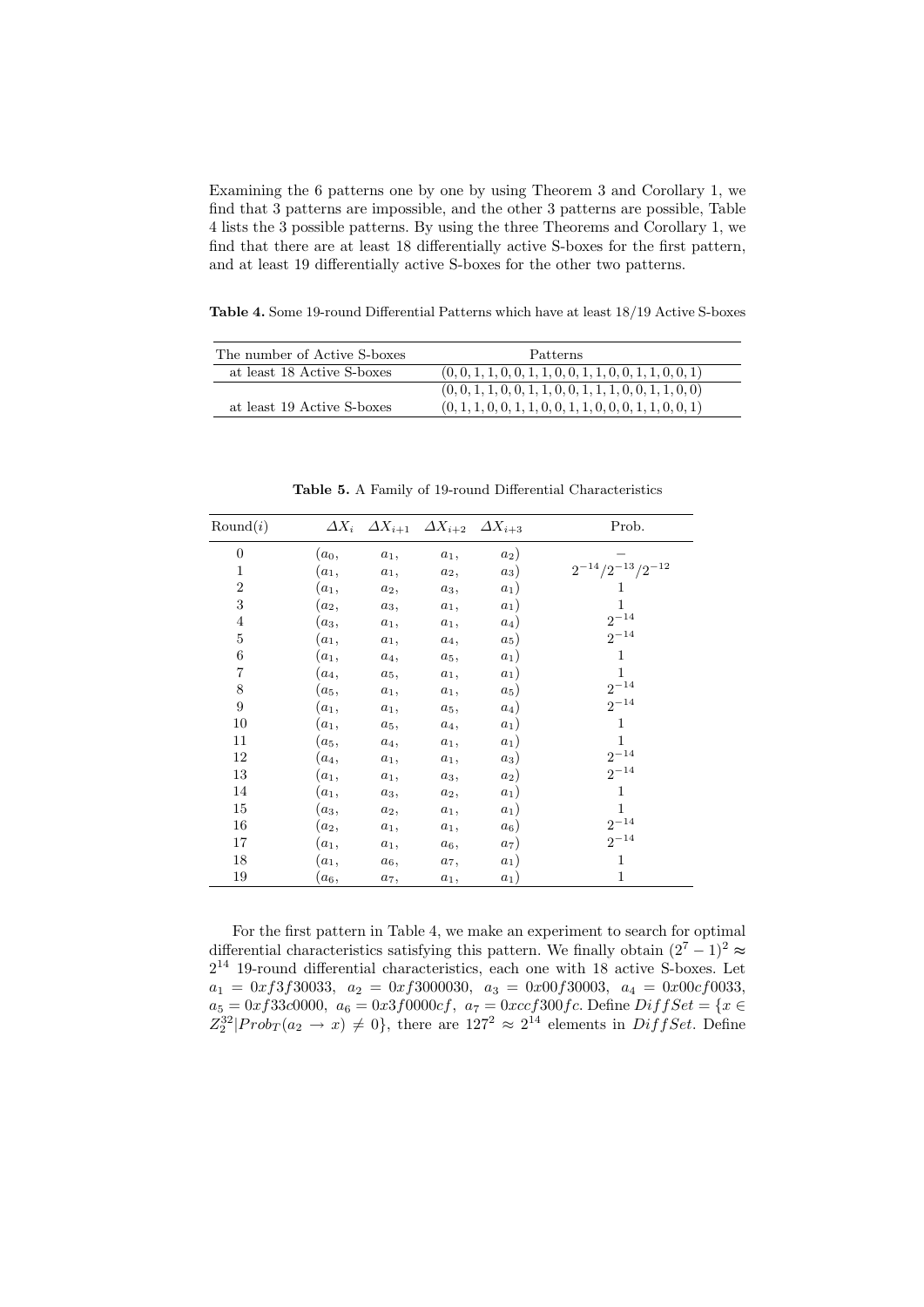Examining the 6 patterns one by one by using Theorem 3 and Corollary 1, we find that 3 patterns are impossible, and the other 3 patterns are possible, Table 4 lists the 3 possible patterns. By using the three Theorems and Corollary 1, we find that there are at least 18 differentially active S-boxes for the first pattern, and at least 19 differentially active S-boxes for the other two patterns.

Table 4. Some 19-round Differential Patterns which have at least 18/19 Active S-boxes

| The number of Active S-boxes | <b>Patterns</b>                                             |
|------------------------------|-------------------------------------------------------------|
| at least 18 Active S-boxes   | $(0, 0, 1, 1, 0, 0, 1, 1, 0, 0, 1, 1, 0, 0, 1, 1, 0, 0, 1)$ |
|                              | $(0, 0, 1, 1, 0, 0, 1, 1, 0, 0, 1, 1, 1, 0, 0, 1, 1, 0, 0)$ |
| at least 19 Active S-boxes   | $(0, 1, 1, 0, 0, 1, 1, 0, 0, 1, 1, 0, 0, 0, 1, 1, 0, 0, 1)$ |

| Round(i)       |         | $\Delta X_i$ $\Delta X_{i+1}$ $\Delta X_{i+2}$ $\Delta X_{i+3}$ |        |        | Prob.                     |
|----------------|---------|-----------------------------------------------------------------|--------|--------|---------------------------|
| $\overline{0}$ | $(a_0,$ | $a_1,$                                                          | $a_1,$ | $a_2)$ |                           |
| $\mathbf{1}$   | $(a_1,$ | $a_1,$                                                          | $a_2,$ | $a_3)$ | $2^{-14}/2^{-13}/2^{-12}$ |
| $\overline{2}$ | $(a_1,$ | $a_2,$                                                          | $a_3,$ | $a_1)$ | 1                         |
| 3              | $(a_2,$ | $a_3,$                                                          | $a_1,$ | $a_1)$ | 1                         |
| $\overline{4}$ | $(a_3,$ | $a_1,$                                                          | $a_1,$ | $a_4)$ | $2^{-14}$                 |
| $\mathbf 5$    | $(a_1,$ | $a_1,$                                                          | $a_4,$ | $a_5)$ | $2^{-14}$                 |
| 6              | $(a_1,$ | $a_4,$                                                          | $a_5,$ | $a_1)$ | 1                         |
| $\overline{7}$ | $(a_4,$ | $a_5,$                                                          | $a_1,$ | $a_1)$ | $\mathbf{1}$              |
| 8              | $(a_5,$ | $a_1,$                                                          | $a_1,$ | $a_5)$ | $2^{-14}$                 |
| 9              | $(a_1,$ | $a_1,$                                                          | $a_5,$ | $a_4)$ | $2^{-14}$                 |
| 10             | $(a_1,$ | $a_5,$                                                          | $a_4,$ | $a_1)$ | $\mathbf{1}$              |
| 11             | $(a_5,$ | $a_4,$                                                          | $a_1,$ | $a_1)$ | $\mathbf{1}$              |
| 12             | $(a_4,$ | $a_1,$                                                          | $a_1,$ | $a_3)$ | $2^{-14}$                 |
| 13             | $(a_1,$ | $a_1,$                                                          | $a_3,$ | $a_2)$ | $2^{-14}$                 |
| 14             | $(a_1,$ | $a_3,$                                                          | $a_2,$ | $a_1)$ | 1                         |
| 15             | $(a_3,$ | $a_2,$                                                          | $a_1,$ | $a_1)$ | $\mathbf{1}$              |
| 16             | $(a_2,$ | $a_1,$                                                          | $a_1,$ | $a_6)$ | $2^{-14}$                 |
| 17             | $(a_1,$ | $a_1,$                                                          | $a_6,$ | $a_7)$ | $2^{-14}$                 |
| 18             | $(a_1,$ | $a_6,$                                                          | $a_7,$ | $a_1)$ | $\mathbf{1}$              |
| 19             | $(a_6,$ | a <sub>7</sub> ,                                                | $a_1,$ | $a_1)$ | 1                         |

Table 5. A Family of 19-round Differential Characteristics

For the first pattern in Table 4, we make an experiment to search for optimal differential characteristics satisfying this pattern. We finally obtain  $(2^7 - 1)^2 \approx$  $2^{14}$  19-round differential characteristics, each one with 18 active S-boxes. Let  $a_1 = 0x f3 f30033$ ,  $a_2 = 0x f3000030$ ,  $a_3 = 0x00 f30003$ ,  $a_4 = 0x00cf0033$ ,  $a_5 = 0xf33c0000, a_6 = 0x3f0000cf, a_7 = 0xccf300fc.$  Define  $DiffSet = \{x \in$  $Z_2^{32}|Prob_T(a_2 \to x) \neq 0\},\$  there are  $127^2 \approx 2^{14}$  elements in  $DiffSet.$  Define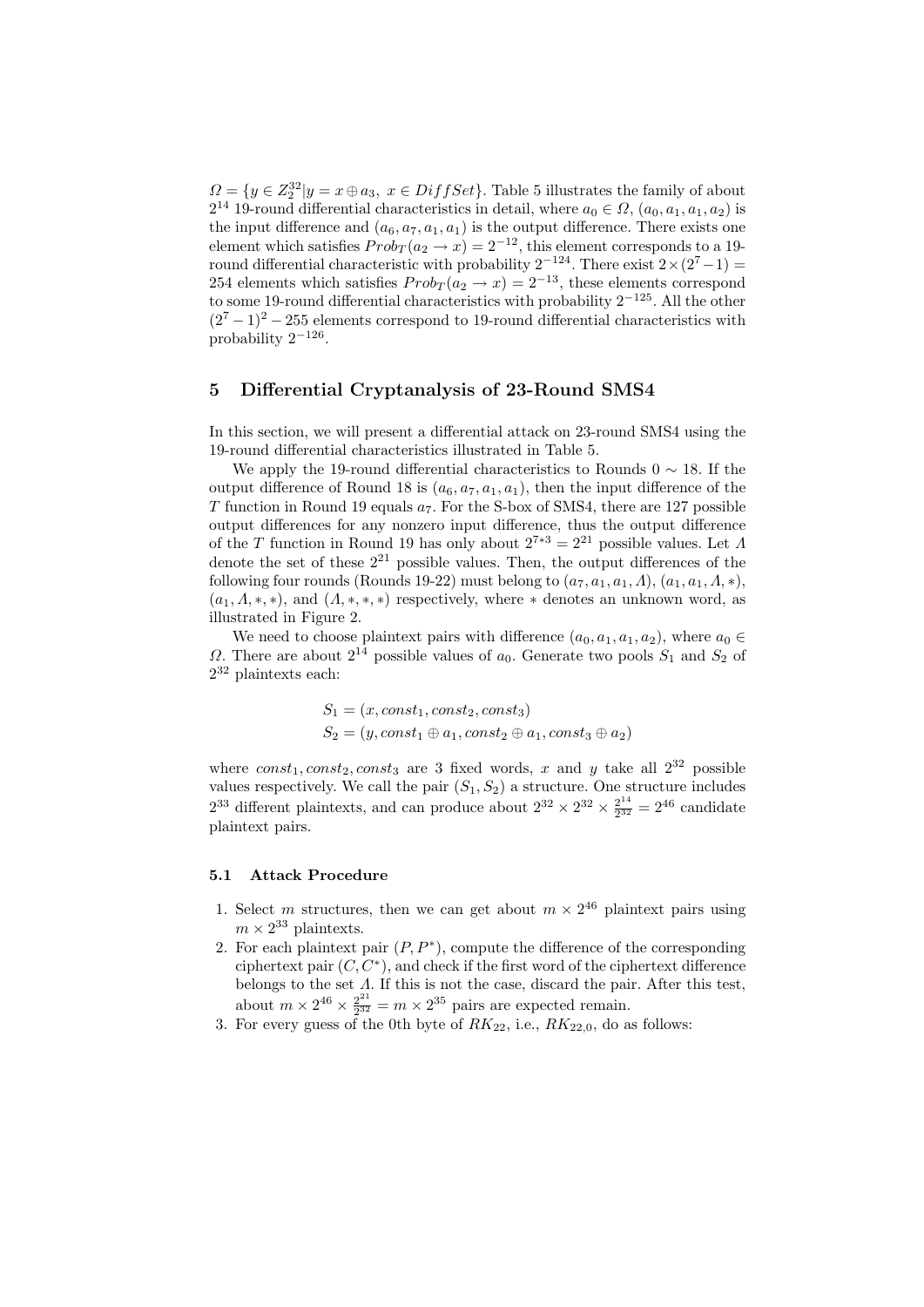$\Omega = \{y \in \mathbb{Z}_2^{32} | y = x \oplus a_3, x \in \text{DiffSet}\}.$  Table 5 illustrates the family of about  $2^{14}$  19-round differential characteristics in detail, where  $a_0 \in \Omega$ ,  $(a_0, a_1, a_1, a_2)$  is the input difference and  $(a_6, a_7, a_1, a_1)$  is the output difference. There exists one element which satisfies  $Prob_T(a_2 \rightarrow x) = 2^{-12}$ , this element corresponds to a 19round differential characteristic with probability  $2^{-124}$ . There exist  $2 \times (2^7-1) =$ 254 elements which satisfies  $Prob_T(a_2 \rightarrow x) = 2^{-13}$ , these elements correspond to some 19-round differential characteristics with probability  $2^{-125}$ . All the other  $(2<sup>7</sup> - 1)<sup>2</sup> - 255$  elements correspond to 19-round differential characteristics with probability  $2^{-126}$ .

#### 5 Differential Cryptanalysis of 23-Round SMS4

In this section, we will present a differential attack on 23-round SMS4 using the 19-round differential characteristics illustrated in Table 5.

We apply the 19-round differential characteristics to Rounds  $0 \sim 18$ . If the output difference of Round 18 is  $(a_6, a_7, a_1, a_1)$ , then the input difference of the T function in Round 19 equals  $a_7$ . For the S-box of SMS4, there are 127 possible output differences for any nonzero input difference, thus the output difference of the T function in Round 19 has only about  $2^{7*3} = 2^{21}$  possible values. Let  $\Lambda$ denote the set of these  $2^{21}$  possible values. Then, the output differences of the following four rounds (Rounds 19-22) must belong to  $(a_7, a_1, a_1, \Lambda)$ ,  $(a_1, a_1, \Lambda, *)$ ,  $(a_1, \Lambda, *, *),$  and  $(\Lambda, *, *, *)$  respectively, where  $*$  denotes an unknown word, as illustrated in Figure 2.

We need to choose plaintext pairs with difference  $(a_0, a_1, a_1, a_2)$ , where  $a_0 \in$  $\Omega$ . There are about  $2^{14}$  possible values of  $a_0$ . Generate two pools  $S_1$  and  $S_2$  of 2 <sup>32</sup> plaintexts each:

$$
S_1 = (x, const_1, const_2, const_3)
$$
  
\n
$$
S_2 = (y, const_1 \oplus a_1, const_2 \oplus a_1, const_3 \oplus a_2)
$$

where  $const_1, const_2, const_3$  are 3 fixed words, x and y take all  $2^{32}$  possible values respectively. We call the pair  $(S_1, S_2)$  a structure. One structure includes  $2^{33}$  different plaintexts, and can produce about  $2^{32} \times 2^{32} \times \frac{2^{14}}{2^{32}}$  $\frac{2^{14}}{2^{32}} = 2^{46}$  candidate plaintext pairs.

### 5.1 Attack Procedure

- 1. Select m structures, then we can get about  $m \times 2^{46}$  plaintext pairs using  $m \times 2^{33}$  plaintexts.
- 2. For each plaintext pair  $(P, P^*)$ , compute the difference of the corresponding ciphertext pair  $(C, C^*)$ , and check if the first word of the ciphertext difference belongs to the set  $\Lambda$ . If this is not the case, discard the pair. After this test, about  $m \times 2^{46} \times \frac{2^{21}}{232}$  $\frac{2^{21}}{2^{32}} = m \times 2^{35}$  pairs are expected remain.
- 3. For every guess of the 0th byte of  $RK_{22}$ , i.e.,  $RK_{22,0}$ , do as follows: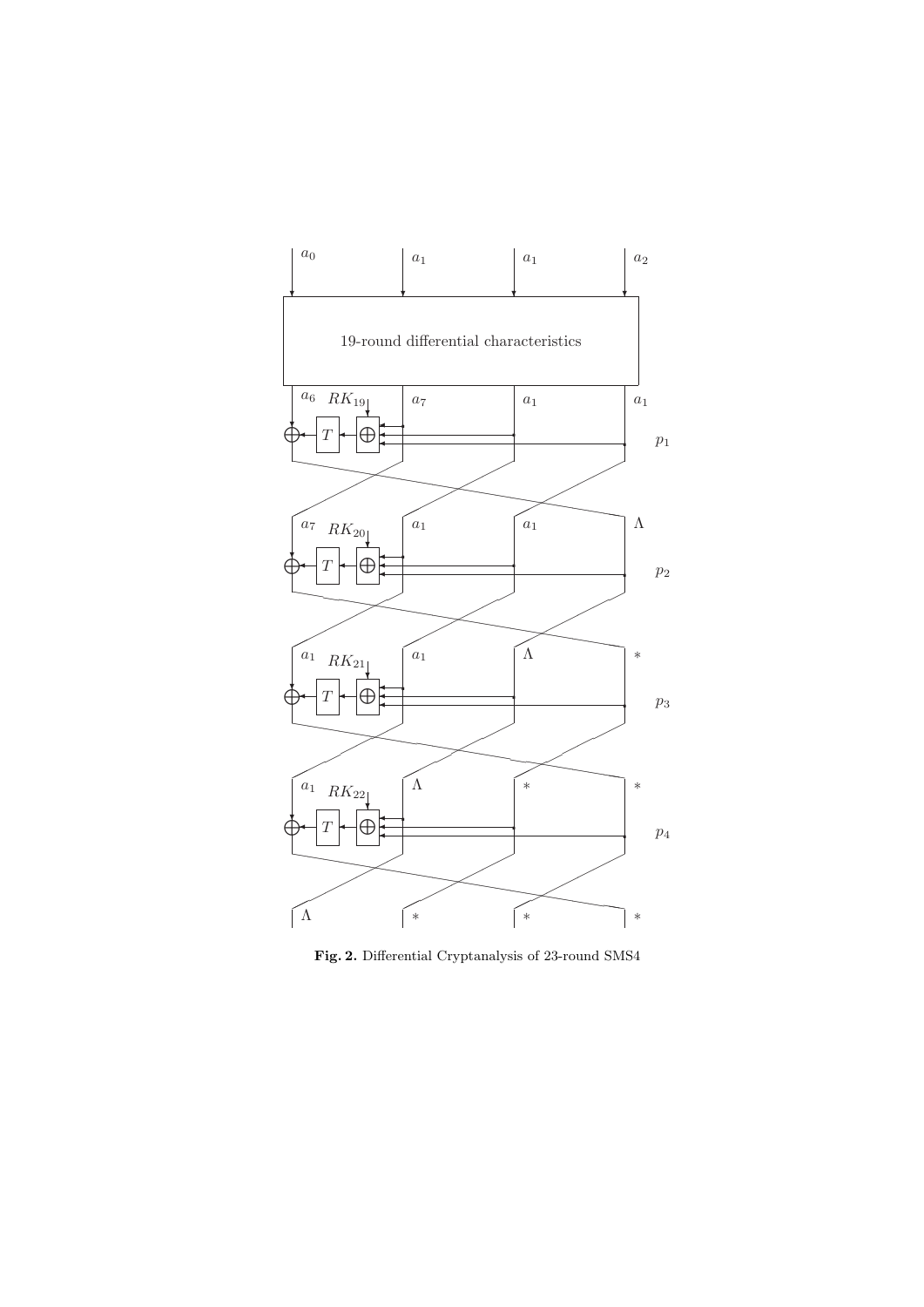

Fig. 2. Differential Cryptanalysis of 23-round SMS4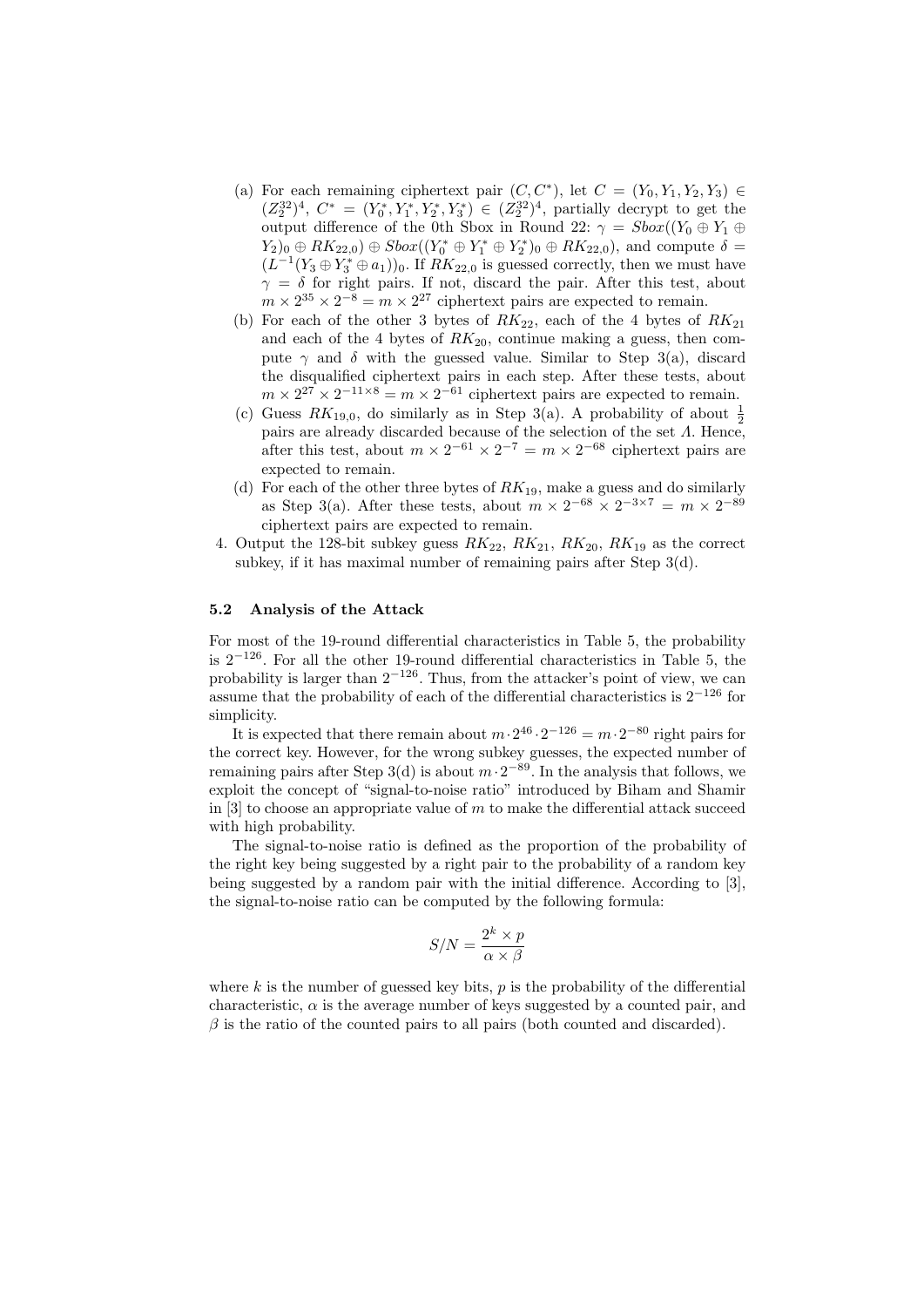- (a) For each remaining ciphertext pair  $(C, C^*)$ , let  $C = (Y_0, Y_1, Y_2, Y_3) \in$  $(Z_2^{32})^4$ ,  $C^* = (Y_0^*, Y_1^*, Y_2^*, Y_3^*) \in (Z_2^{32})^4$ , partially decrypt to get the output difference of the 0th Sbox in Round 22:  $\gamma = \text{Sbox}((Y_0 \oplus Y_1 \oplus Y_2))$  $(Y_2)_0 \oplus RK_{22,0}) \oplus Sbox((Y_0^* \oplus Y_1^* \oplus Y_2^*)_0 \oplus RK_{22,0}),$  and compute  $\delta =$  $(L^{-1}(Y_3 \oplus Y_3^* \oplus a_1))_0$ . If  $RK_{22,0}$  is guessed correctly, then we must have  $\gamma = \delta$  for right pairs. If not, discard the pair. After this test, about  $m \times 2^{35} \times 2^{-8} = m \times 2^{27}$  ciphertext pairs are expected to remain.
- (b) For each of the other 3 bytes of  $RK_{22}$ , each of the 4 bytes of  $RK_{21}$ and each of the 4 bytes of  $RK_{20}$ , continue making a guess, then compute  $\gamma$  and  $\delta$  with the guessed value. Similar to Step 3(a), discard the disqualified ciphertext pairs in each step. After these tests, about  $m \times 2^{27} \times 2^{-11 \times 8} = m \times 2^{-61}$  ciphertext pairs are expected to remain.
- (c) Guess  $RK_{19,0}$ , do similarly as in Step 3(a). A probability of about  $\frac{1}{2}$ pairs are already discarded because of the selection of the set  $\Lambda$ . Hence, after this test, about  $m \times 2^{-61} \times 2^{-7} = m \times 2^{-68}$  ciphertext pairs are expected to remain.
- (d) For each of the other three bytes of  $RK_{19}$ , make a guess and do similarly as Step 3(a). After these tests, about  $m \times 2^{-68} \times 2^{-3 \times 7} = m \times 2^{-89}$ ciphertext pairs are expected to remain.
- 4. Output the 128-bit subkey guess  $RK_{22}$ ,  $RK_{21}$ ,  $RK_{20}$ ,  $RK_{19}$  as the correct subkey, if it has maximal number of remaining pairs after Step 3(d).

#### 5.2 Analysis of the Attack

For most of the 19-round differential characteristics in Table 5, the probability is  $2^{-126}$ . For all the other 19-round differential characteristics in Table 5, the probability is larger than  $2^{-126}$ . Thus, from the attacker's point of view, we can assume that the probability of each of the differential characteristics is  $2^{-126}$  for simplicity.

It is expected that there remain about  $m \cdot 2^{46} \cdot 2^{-126} = m \cdot 2^{-80}$  right pairs for the correct key. However, for the wrong subkey guesses, the expected number of remaining pairs after Step 3(d) is about  $m \cdot 2^{-89}$ . In the analysis that follows, we exploit the concept of "signal-to-noise ratio" introduced by Biham and Shamir in [3] to choose an appropriate value of  $m$  to make the differential attack succeed with high probability.

The signal-to-noise ratio is defined as the proportion of the probability of the right key being suggested by a right pair to the probability of a random key being suggested by a random pair with the initial difference. According to [3], the signal-to-noise ratio can be computed by the following formula:

$$
S/N = \frac{2^k \times p}{\alpha \times \beta}
$$

where  $k$  is the number of guessed key bits,  $p$  is the probability of the differential characteristic,  $\alpha$  is the average number of keys suggested by a counted pair, and  $\beta$  is the ratio of the counted pairs to all pairs (both counted and discarded).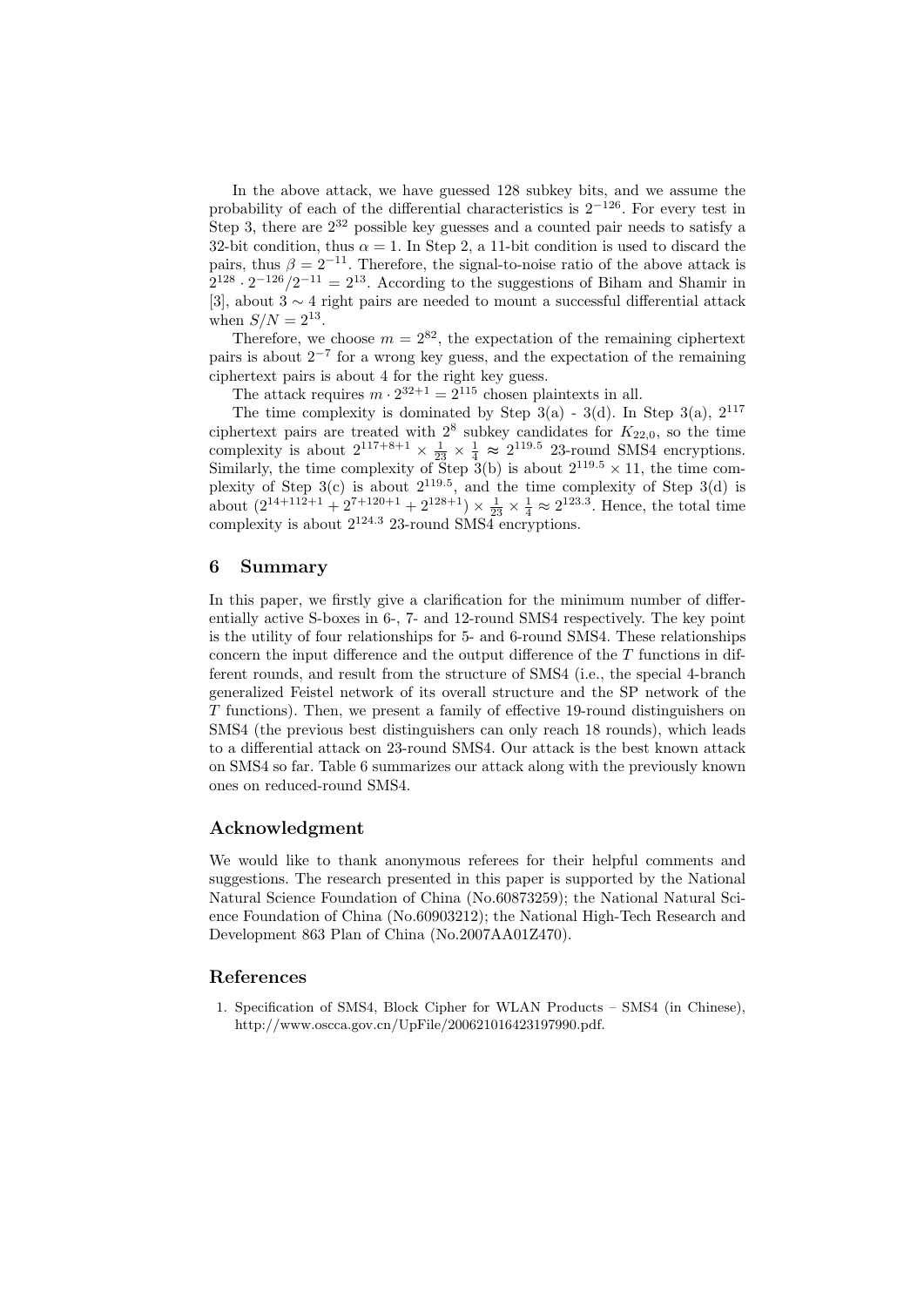In the above attack, we have guessed 128 subkey bits, and we assume the probability of each of the differential characteristics is  $2^{-126}$ . For every test in Step 3, there are  $2^{32}$  possible key guesses and a counted pair needs to satisfy a 32-bit condition, thus  $\alpha = 1$ . In Step 2, a 11-bit condition is used to discard the pairs, thus  $\beta = 2^{-11}$ . Therefore, the signal-to-noise ratio of the above attack is  $2^{128} \cdot 2^{-126}/2^{-11} = 2^{13}$ . According to the suggestions of Biham and Shamir in [3], about  $3 \sim 4$  right pairs are needed to mount a successful differential attack when  $S/N = 2^{13}$ .

Therefore, we choose  $m = 2^{82}$ , the expectation of the remaining ciphertext pairs is about 2<sup>−</sup><sup>7</sup> for a wrong key guess, and the expectation of the remaining ciphertext pairs is about 4 for the right key guess.

The attack requires  $m \cdot 2^{32+1} = 2^{115}$  chosen plaintexts in all.

The time complexity is dominated by Step  $3(a)$  -  $3(d)$ . In Step  $3(a)$ ,  $2^{117}$ ciphertext pairs are treated with  $2^8$  subkey candidates for  $K_{22,0}$ , so the time complexity is about  $2^{117+8+1} \times \frac{1}{23} \times \frac{1}{4} \approx 2^{119.5}$  23-round SMS4 encryptions. Similarly, the time complexity of Step  $3(b)$  is about  $2^{119.5} \times 11$ , the time complexity of Step  $3(c)$  is about  $2^{119.5}$ , and the time complexity of Step  $3(d)$  is about  $(2^{14+112+1}+2^{7+120+1}+2^{128+1}) \times \frac{1}{23} \times \frac{1}{4} \approx 2^{123.3}$ . Hence, the total time complexity is about  $2^{124.3}$  23-round SMS4 encryptions.

#### 6 Summary

In this paper, we firstly give a clarification for the minimum number of differentially active S-boxes in 6-, 7- and 12-round SMS4 respectively. The key point is the utility of four relationships for 5- and 6-round SMS4. These relationships concern the input difference and the output difference of the  $T$  functions in different rounds, and result from the structure of SMS4 (i.e., the special 4-branch generalized Feistel network of its overall structure and the SP network of the T functions). Then, we present a family of effective 19-round distinguishers on SMS4 (the previous best distinguishers can only reach 18 rounds), which leads to a differential attack on 23-round SMS4. Our attack is the best known attack on SMS4 so far. Table 6 summarizes our attack along with the previously known ones on reduced-round SMS4.

### Acknowledgment

We would like to thank anonymous referees for their helpful comments and suggestions. The research presented in this paper is supported by the National Natural Science Foundation of China (No.60873259); the National Natural Science Foundation of China (No.60903212); the National High-Tech Research and Development 863 Plan of China (No.2007AA01Z470).

## References

1. Specification of SMS4, Block Cipher for WLAN Products – SMS4 (in Chinese), http://www.oscca.gov.cn/UpFile/200621016423197990.pdf.